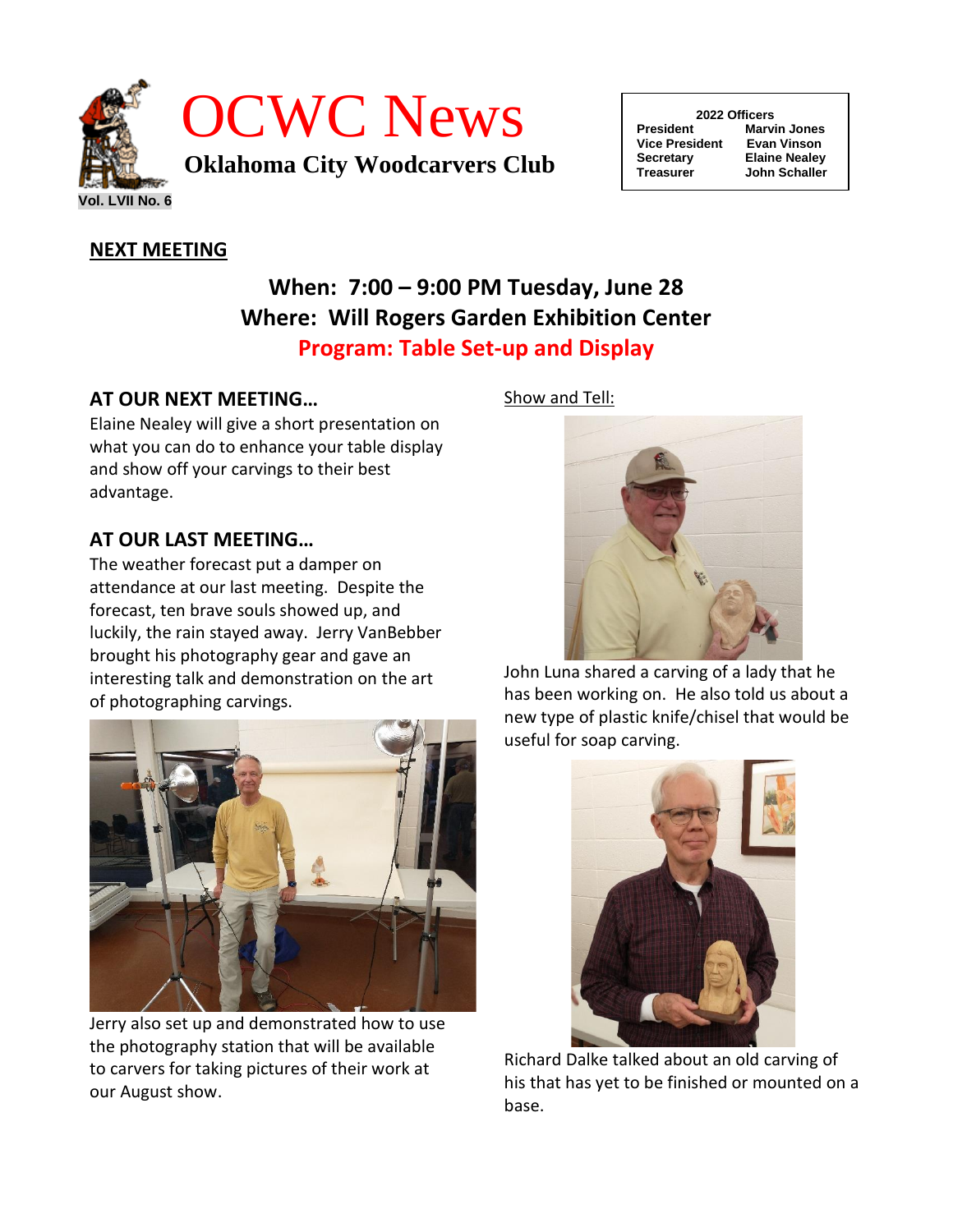

| 2022 Officers         |                      |  |
|-----------------------|----------------------|--|
| <b>President</b>      | <b>Marvin Jones</b>  |  |
| <b>Vice President</b> | Evan Vinson          |  |
| <b>Secretary</b>      | <b>Elaine Nealey</b> |  |
| <b>Treasurer</b>      | <b>John Schaller</b> |  |
|                       |                      |  |

# **NEXT MEETING**

# **When: 7:00 – 9:00 PM Tuesday, June 28 Where: Will Rogers Garden Exhibition Center Program: Table Set-up and Display**

## **AT OUR NEXT MEETING…**

Elaine Nealey will give a short presentation on what you can do to enhance your table display and show off your carvings to their best advantage.

## **AT OUR LAST MEETING…**

The weather forecast put a damper on attendance at our last meeting. Despite the forecast, ten brave souls showed up, and luckily, the rain stayed away. Jerry VanBebber brought his photography gear and gave an interesting talk and demonstration on the art of photographing carvings.



Jerry also set up and demonstrated how to use the photography station that will be available to carvers for taking pictures of their work at our August show.

### Show and Tell:



John Luna shared a carving of a lady that he has been working on. He also told us about a new type of plastic knife/chisel that would be useful for soap carving.



Richard Dalke talked about an old carving of his that has yet to be finished or mounted on a base.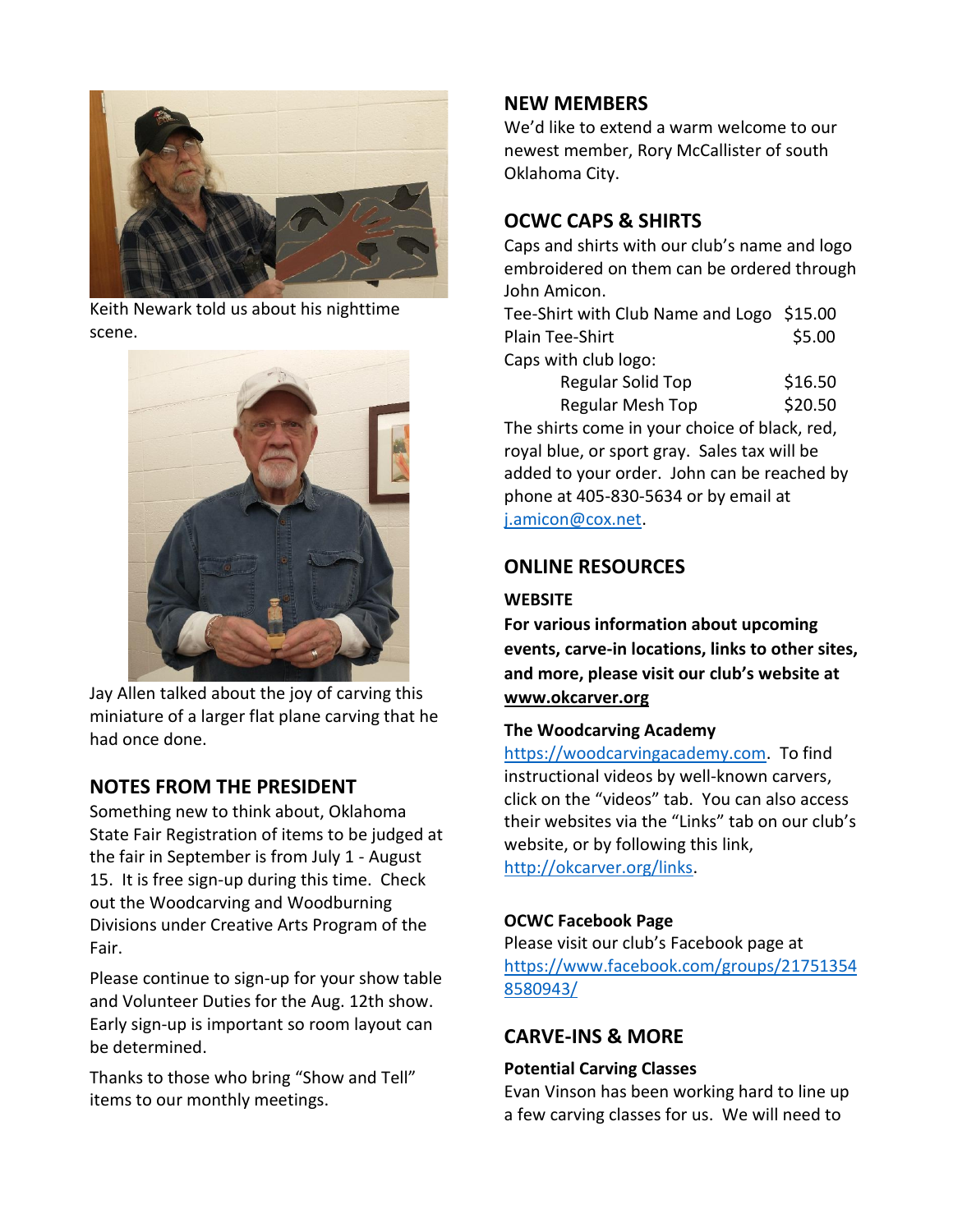

Keith Newark told us about his nighttime scene.



Jay Allen talked about the joy of carving this miniature of a larger flat plane carving that he had once done.

### **NOTES FROM THE PRESIDENT**

Something new to think about, Oklahoma State Fair Registration of items to be judged at the fair in September is from July 1 - August 15. It is free sign-up during this time. Check out the Woodcarving and Woodburning Divisions under Creative Arts Program of the Fair.

Please continue to sign-up for your show table and Volunteer Duties for the Aug. 12th show. Early sign-up is important so room layout can be determined.

Thanks to those who bring "Show and Tell" items to our monthly meetings.

## **NEW MEMBERS**

We'd like to extend a warm welcome to our newest member, Rory McCallister of south Oklahoma City.

# **OCWC CAPS & SHIRTS**

Caps and shirts with our club's name and logo embroidered on them can be ordered through John Amicon.

Tee-Shirt with Club Name and Logo \$15.00 Plain Tee-Shirt \$5.00 Caps with club logo:

| Regular Solid Top | \$16.50 |
|-------------------|---------|
| Regular Mesh Top  | \$20.50 |

The shirts come in your choice of black, red, royal blue, or sport gray. Sales tax will be added to your order. John can be reached by phone at 405-830-5634 or by email at [j.amicon@cox.net.](mailto:j.amicon@cox.net)

# **ONLINE RESOURCES**

### **WEBSITE**

**For various information about upcoming events, carve-in locations, links to other sites, and more, please visit our club's website at [www.okcarver.org](http://www.okcarver.org/)**

### **The Woodcarving Academy**

[https://woodcarvingacademy.com.](https://woodcarvingacademy.com/) To find instructional videos by well-known carvers, click on the "videos" tab. You can also access their websites via the "Links" tab on our club's website, or by following this link, [http://okcarver.org/links.](http://okcarver.org/links)

### **OCWC Facebook Page**

Please visit our club's Facebook page at [https://www.facebook.com/groups/21751354](https://www.facebook.com/groups/217513548580943/) [8580943/](https://www.facebook.com/groups/217513548580943/) 

# **CARVE-INS & MORE**

### **Potential Carving Classes**

Evan Vinson has been working hard to line up a few carving classes for us. We will need to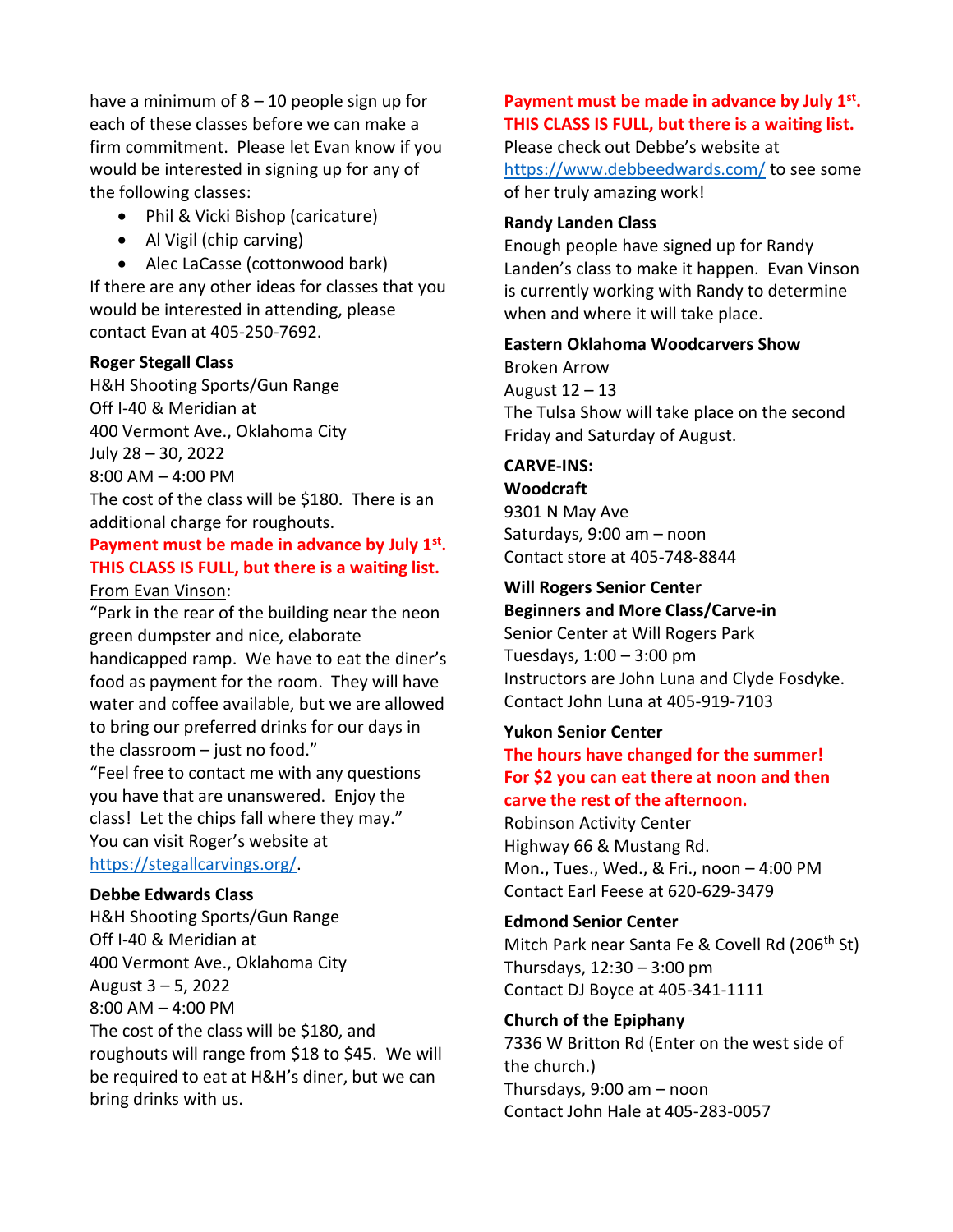have a minimum of  $8 - 10$  people sign up for each of these classes before we can make a firm commitment. Please let Evan know if you would be interested in signing up for any of the following classes:

- Phil & Vicki Bishop (caricature)
- Al Vigil (chip carving)

• Alec LaCasse (cottonwood bark) If there are any other ideas for classes that you would be interested in attending, please contact Evan at 405-250-7692.

#### **Roger Stegall Class**

H&H Shooting Sports/Gun Range Off I-40 & Meridian at 400 Vermont Ave., Oklahoma City July 28 – 30, 2022 8:00 AM – 4:00 PM The cost of the class will be \$180. There is an

additional charge for roughouts.

#### **Payment must be made in advance by July 1st . THIS CLASS IS FULL, but there is a waiting list.** From Evan Vinson:

"Park in the rear of the building near the neon green dumpster and nice, elaborate handicapped ramp. We have to eat the diner's food as payment for the room. They will have water and coffee available, but we are allowed to bring our preferred drinks for our days in the classroom  $-$  just no food."

"Feel free to contact me with any questions you have that are unanswered. Enjoy the class! Let the chips fall where they may." You can visit Roger's website at [https://stegallcarvings.org/.](https://stegallcarvings.org/)

#### **Debbe Edwards Class**

H&H Shooting Sports/Gun Range Off I-40 & Meridian at 400 Vermont Ave., Oklahoma City August 3 – 5, 2022 8:00 AM – 4:00 PM The cost of the class will be \$180, and roughouts will range from \$18 to \$45. We will be required to eat at H&H's diner, but we can bring drinks with us.

### **Payment must be made in advance by July 1st . THIS CLASS IS FULL, but there is a waiting list.** Please check out Debbe's website at <https://www.debbeedwards.com/> to see some of her truly amazing work!

#### **Randy Landen Class**

Enough people have signed up for Randy Landen's class to make it happen. Evan Vinson is currently working with Randy to determine when and where it will take place.

#### **Eastern Oklahoma Woodcarvers Show**

Broken Arrow August 12 – 13 The Tulsa Show will take place on the second Friday and Saturday of August.

#### **CARVE-INS:**

**Woodcraft** 9301 N May Ave Saturdays, 9:00 am – noon Contact store at 405-748-8844

#### **Will Rogers Senior Center**

**Beginners and More Class/Carve-in** Senior Center at Will Rogers Park Tuesdays, 1:00 – 3:00 pm Instructors are John Luna and Clyde Fosdyke. Contact John Luna at 405-919-7103

#### **Yukon Senior Center**

**The hours have changed for the summer! For \$2 you can eat there at noon and then carve the rest of the afternoon.**

Robinson Activity Center Highway 66 & Mustang Rd. Mon., Tues., Wed., & Fri., noon – 4:00 PM Contact Earl Feese at 620-629-3479

# **Edmond Senior Center**

Mitch Park near Santa Fe & Covell Rd (206<sup>th</sup> St) Thursdays, 12:30 – 3:00 pm Contact DJ Boyce at 405-341-1111

### **Church of the Epiphany**

7336 W Britton Rd (Enter on the west side of the church.) Thursdays, 9:00 am – noon Contact John Hale at 405-283-0057